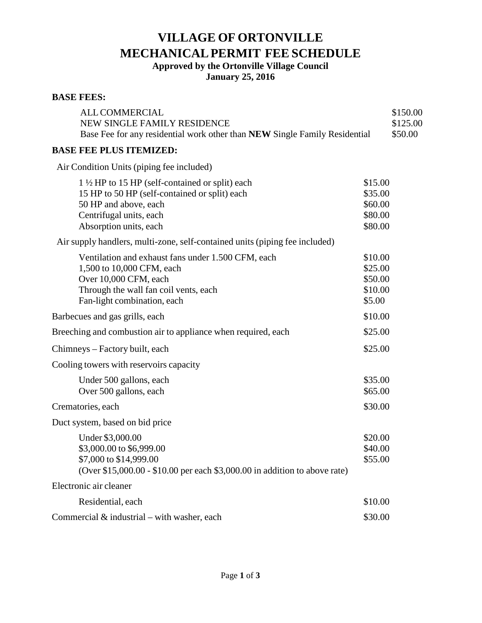# **VILLAGE OF ORTONVILLE MECHANICALPERMIT FEE SCHEDULE**

**Approved by the Ortonville Village Council** 

**January 25, 2016**

## **BASE FEES:**

| <b>ALL COMMERCIAL</b>                                                                                     |                    | \$150.00            |
|-----------------------------------------------------------------------------------------------------------|--------------------|---------------------|
| NEW SINGLE FAMILY RESIDENCE<br>Base Fee for any residential work other than NEW Single Family Residential |                    | \$125.00<br>\$50.00 |
| <b>BASE FEE PLUS ITEMIZED:</b>                                                                            |                    |                     |
|                                                                                                           |                    |                     |
| Air Condition Units (piping fee included)                                                                 |                    |                     |
| $1\frac{1}{2}$ HP to 15 HP (self-contained or split) each                                                 | \$15.00            |                     |
| 15 HP to 50 HP (self-contained or split) each                                                             | \$35.00            |                     |
| 50 HP and above, each<br>Centrifugal units, each                                                          | \$60.00<br>\$80.00 |                     |
| Absorption units, each                                                                                    | \$80.00            |                     |
| Air supply handlers, multi-zone, self-contained units (piping fee included)                               |                    |                     |
| Ventilation and exhaust fans under 1.500 CFM, each                                                        | \$10.00            |                     |
| 1,500 to 10,000 CFM, each                                                                                 | \$25.00            |                     |
| Over 10,000 CFM, each                                                                                     | \$50.00            |                     |
| Through the wall fan coil vents, each                                                                     | \$10.00            |                     |
| Fan-light combination, each                                                                               | \$5.00             |                     |
| Barbecues and gas grills, each                                                                            | \$10.00            |                     |
| Breeching and combustion air to appliance when required, each                                             | \$25.00            |                     |
| Chimneys - Factory built, each                                                                            | \$25.00            |                     |
| Cooling towers with reservoirs capacity                                                                   |                    |                     |
| Under 500 gallons, each                                                                                   | \$35.00            |                     |
| Over 500 gallons, each                                                                                    | \$65.00            |                     |
| Crematories, each                                                                                         | \$30.00            |                     |
| Duct system, based on bid price                                                                           |                    |                     |
| Under \$3,000.00                                                                                          | \$20.00            |                     |
| \$3,000.00 to \$6,999.00                                                                                  | \$40.00            |                     |
| \$7,000 to \$14,999.00<br>(Over \$15,000.00 - \$10.00 per each \$3,000.00 in addition to above rate)      | \$55.00            |                     |
| Electronic air cleaner                                                                                    |                    |                     |
| Residential, each                                                                                         | \$10.00            |                     |
| Commercial $&$ industrial – with washer, each                                                             | \$30.00            |                     |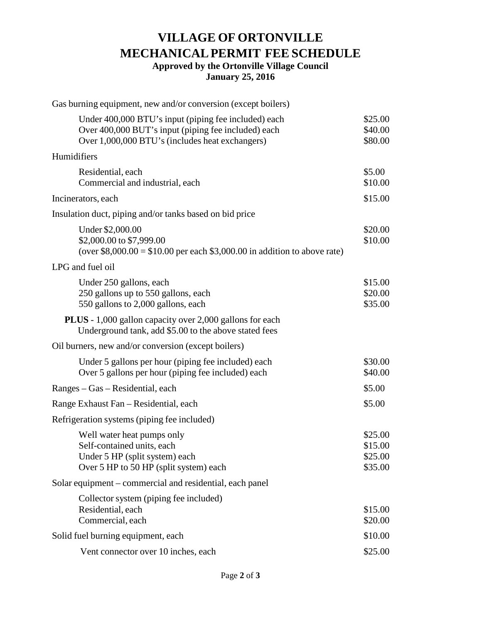# **VILLAGE OF ORTONVILLE MECHANICALPERMIT FEE SCHEDULE Approved by the Ortonville Village Council January 25, 2016**

| Gas burning equipment, new and/or conversion (except boilers)                                                                                                  |                                          |
|----------------------------------------------------------------------------------------------------------------------------------------------------------------|------------------------------------------|
| Under 400,000 BTU's input (piping fee included) each<br>Over 400,000 BUT's input (piping fee included) each<br>Over 1,000,000 BTU's (includes heat exchangers) | \$25.00<br>\$40.00<br>\$80.00            |
| Humidifiers                                                                                                                                                    |                                          |
| Residential, each<br>Commercial and industrial, each                                                                                                           | \$5.00<br>\$10.00                        |
| Incinerators, each                                                                                                                                             | \$15.00                                  |
| Insulation duct, piping and/or tanks based on bid price                                                                                                        |                                          |
| Under \$2,000.00<br>\$2,000.00 to \$7,999.00<br>(over $$8,000.00 = $10.00$ per each $$3,000.00$ in addition to above rate)                                     | \$20.00<br>\$10.00                       |
| LPG and fuel oil                                                                                                                                               |                                          |
| Under 250 gallons, each<br>250 gallons up to 550 gallons, each<br>550 gallons to 2,000 gallons, each                                                           | \$15.00<br>\$20.00<br>\$35.00            |
| <b>PLUS</b> - 1,000 gallon capacity over 2,000 gallons for each<br>Underground tank, add \$5.00 to the above stated fees                                       |                                          |
| Oil burners, new and/or conversion (except boilers)                                                                                                            |                                          |
| Under 5 gallons per hour (piping fee included) each<br>Over 5 gallons per hour (piping fee included) each                                                      | \$30.00<br>\$40.00                       |
| Ranges – Gas – Residential, each                                                                                                                               | \$5.00                                   |
| Range Exhaust Fan - Residential, each                                                                                                                          | \$5.00                                   |
| Refrigeration systems (piping fee included)                                                                                                                    |                                          |
| Well water heat pumps only<br>Self-contained units, each<br>Under 5 HP (split system) each<br>Over 5 HP to 50 HP (split system) each                           | \$25.00<br>\$15.00<br>\$25.00<br>\$35.00 |
| Solar equipment – commercial and residential, each panel                                                                                                       |                                          |
| Collector system (piping fee included)<br>Residential, each<br>Commercial, each                                                                                | \$15.00<br>\$20.00                       |
| Solid fuel burning equipment, each                                                                                                                             | \$10.00                                  |
| Vent connector over 10 inches, each                                                                                                                            | \$25.00                                  |